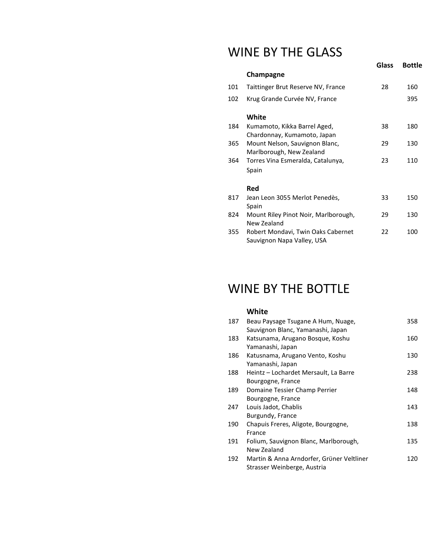## WINE BY THE GLASS

|     |                                                                  | Glass | <b>Bottle</b> |
|-----|------------------------------------------------------------------|-------|---------------|
|     | Champagne                                                        |       |               |
| 101 | Taittinger Brut Reserve NV, France                               | 28    | 160           |
| 102 | Krug Grande Curvée NV, France                                    |       | 395           |
|     | White                                                            |       |               |
| 184 | Kumamoto, Kikka Barrel Aged,                                     | 38    | 180           |
|     | Chardonnay, Kumamoto, Japan                                      |       |               |
| 365 | Mount Nelson, Sauvignon Blanc,                                   | 29    | 130           |
|     | Marlborough, New Zealand                                         |       |               |
| 364 | Torres Vina Esmeralda, Catalunya,                                | 23    | 110           |
|     | Spain                                                            |       |               |
|     | Red                                                              |       |               |
| 817 | Jean Leon 3055 Merlot Penedès,                                   | 33    | 150           |
|     | Spain                                                            |       |               |
| 824 | Mount Riley Pinot Noir, Marlborough,<br>New Zealand              | 29    | 130           |
| 355 | Robert Mondavi, Twin Oaks Cabernet<br>Sauvignon Napa Valley, USA | 22    | 100           |
|     |                                                                  |       |               |

## WINE BY THE BOTTLE

#### **White**

| 187 | Beau Paysage Tsugane A Hum, Nuage,<br>Sauvignon Blanc, Yamanashi, Japan  | 358 |
|-----|--------------------------------------------------------------------------|-----|
| 183 | Katsunama, Arugano Bosque, Koshu                                         | 160 |
| 186 | Yamanashi, Japan<br>Katusnama, Arugano Vento, Koshu                      | 130 |
| 188 | Yamanashi, Japan<br>Heintz – Lochardet Mersault, La Barre                | 238 |
|     | Bourgogne, France                                                        |     |
| 189 | Domaine Tessier Champ Perrier<br>Bourgogne, France                       | 148 |
| 247 | Louis Jadot, Chablis                                                     | 143 |
| 190 | Burgundy, France<br>Chapuis Freres, Aligote, Bourgogne,                  | 138 |
| 191 | France<br>Folium, Sauvignon Blanc, Marlborough,                          | 135 |
|     | New Zealand                                                              |     |
| 192 | Martin & Anna Arndorfer, Grüner Veltliner<br>Strasser Weinberge, Austria | 120 |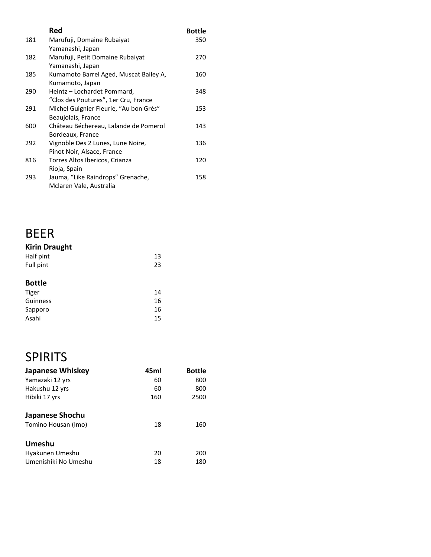|     | Red                                    | <b>Bottle</b> |
|-----|----------------------------------------|---------------|
| 181 | Marufuji, Domaine Rubaiyat             | 350           |
|     | Yamanashi, Japan                       |               |
| 182 | Marufuji, Petit Domaine Rubaiyat       | 270           |
|     | Yamanashi, Japan                       |               |
| 185 | Kumamoto Barrel Aged, Muscat Bailey A, | 160           |
|     | Kumamoto, Japan                        |               |
| 290 | Heintz - Lochardet Pommard,            | 348           |
|     | "Clos des Poutures", 1er Cru, France   |               |
| 291 | Michel Guignier Fleurie, "Au bon Grès" | 153           |
|     | Beaujolais, France                     |               |
| 600 | Château Béchereau, Lalande de Pomerol  | 143           |
|     | Bordeaux, France                       |               |
| 292 | Vignoble Des 2 Lunes, Lune Noire,      | 136           |
|     | Pinot Noir, Alsace, France             |               |
| 816 | Torres Altos Ibericos, Crianza         | 120           |
|     | Rioja, Spain                           |               |
| 293 | Jauma, "Like Raindrops" Grenache,      | 158           |
|     | Mclaren Vale, Australia                |               |

## BEER **Kirin Draught**

| <b>Kirin Draught</b> |    |
|----------------------|----|
| Half pint            | 13 |
| Full pint            | 23 |
|                      |    |
| <b>Bottle</b>        |    |
| Tiger                | 14 |
| $C$ uinness          | 1C |

| Guinness | 16 |
|----------|----|
| Sapporo  | 16 |
| Asahi    | 15 |

# SPIRITS

| <b>Japanese Whiskey</b> | 45ml | <b>Bottle</b> |
|-------------------------|------|---------------|
| Yamazaki 12 yrs         | 60   | 800           |
| Hakushu 12 yrs          | 60   | 800           |
| Hibiki 17 yrs           | 160  | 2500          |
| Japanese Shochu         |      |               |
| Tomino Housan (Imo)     | 18   | 160           |
| Umeshu                  |      |               |
| Hyakunen Umeshu         | 20   | 200           |
| Umenishiki No Umeshu    | 18   | 180           |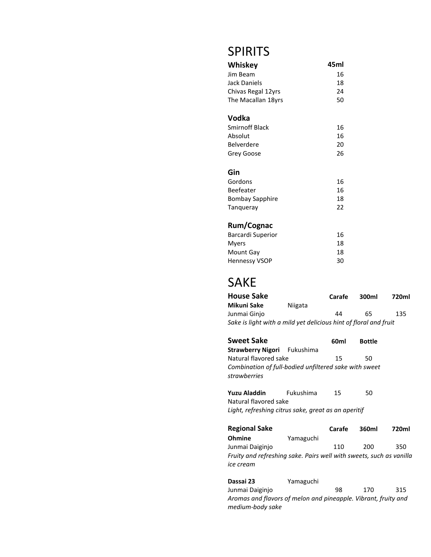## SPIRITS

| Whiskey            | 45ml |
|--------------------|------|
| Jim Beam           | 16   |
| Jack Daniels       | 18   |
| Chivas Regal 12yrs | 24   |
| The Macallan 18yrs | 50   |
| Vodka              |      |
| Smirnoff Black     | 16   |
| Absolut            | 16   |
| Belverdere         | 20   |
| Grey Goose         | 26   |
| Gin                |      |
| Gordons            | 16   |
| Beefeater          | 16   |
| Bombay Sapphire    | 18   |
| Tangueray          | 22   |

## **Rum/Cognac**

| <b>Barcardi Superior</b> | 16 |
|--------------------------|----|
| Myers                    | 18 |
| Mount Gay                | 18 |
| <b>Hennessy VSOP</b>     | 30 |

## SAKE

| <b>House Sake</b>                                                |         | Carafe | 300ml | 720ml |
|------------------------------------------------------------------|---------|--------|-------|-------|
| Mikuni Sake                                                      | Niigata |        |       |       |
| Junmai Ginio                                                     |         | 44     | 65    | 135   |
| Sake is light with a mild yet delicious hint of floral and fruit |         |        |       |       |

| <b>Sweet Sake</b>                                                     | 60ml | <b>Bottle</b> |
|-----------------------------------------------------------------------|------|---------------|
| <b>Strawberry Nigori</b> Fukushima                                    |      |               |
| Natural flavored sake                                                 | 15   | 50.           |
| Combination of full-bodied unfiltered sake with sweet<br>strawberries |      |               |

**Yuzu Aladdin** Fukushima 15 50 Natural flavored sake *Light, refreshing citrus sake, great as an aperitif*

|           | Carafe | 360ml | 720ml                                                               |
|-----------|--------|-------|---------------------------------------------------------------------|
| Yamaguchi |        |       |                                                                     |
|           | 110    | 200   | 350                                                                 |
|           |        |       |                                                                     |
|           |        |       |                                                                     |
|           |        |       | Fruity and refreshing sake. Pairs well with sweets, such as vanilla |

**Dassai 23** Yamaguchi Junmai Daiginjo 98 170 315 *Aromas and flavors of melon and pineapple. Vibrant, fruity and medium-body sake*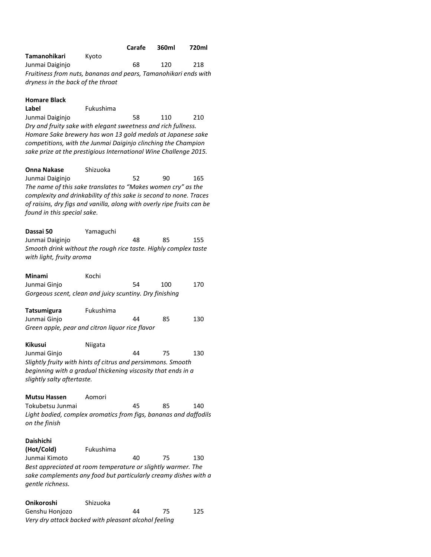|                                                                                                      | Carafe | 360ml | 720ml |
|------------------------------------------------------------------------------------------------------|--------|-------|-------|
| Tamanohikari<br>Kvoto                                                                                |        |       |       |
| Junmai Daiginjo                                                                                      | 68     | 120   | 218   |
| Fruitiness from nuts, bananas and pears, Tamanohikari ends with<br>dryness in the back of the throat |        |       |       |
| . .                                                                                                  |        |       |       |

| <b>Homare Black</b> |  |
|---------------------|--|
|---------------------|--|

**Label** Fukushima Junmai Daiginjo 58 110 210 *Dry and fruity sake with elegant sweetness and rich fullness. Homare Sake brewery has won 13 gold medals at Japanese sake competitions, with the Junmai Daiginjo clinching the Champion sake prize at the prestigious International Wine Challenge 2015.*

**Onna Nakase** Shizuoka Junmai Daiginjo  $52$  90 165 *The name of this sake translates to "Makes women cry" as the complexity and drinkability of this sake is second to none. Traces of raisins, dry figs and vanilla, along with overly ripe fruits can be found in this special sake.*

| Dassai 50                                                       | Yamaguchi |    |     |     |
|-----------------------------------------------------------------|-----------|----|-----|-----|
| Junmai Daiginjo                                                 |           | 48 | 85. | 155 |
| Smooth drink without the rough rice taste. Highly complex taste |           |    |     |     |
| with light, fruity aroma                                        |           |    |     |     |

| <b>Minami</b>                                           | Kochi |    |     |     |
|---------------------------------------------------------|-------|----|-----|-----|
| Junmai Ginjo                                            |       | 54 | 100 | 170 |
| Gorgeous scent, clean and juicy scuntiny. Dry finishing |       |    |     |     |

| <b>Tatsumigura</b>                              | Fukushima |    |    |     |
|-------------------------------------------------|-----------|----|----|-----|
| Junmai Ginjo                                    |           | 44 | 85 | 130 |
| Green apple, pear and citron liquor rice flavor |           |    |    |     |

| <b>Kikusui</b>             | Niigata                                                      |    |    |     |
|----------------------------|--------------------------------------------------------------|----|----|-----|
| Junmai Ginjo               |                                                              | 44 | 75 | 130 |
|                            | Slightly fruity with hints of citrus and persimmons. Smooth  |    |    |     |
|                            | beginning with a gradual thickening viscosity that ends in a |    |    |     |
| slightly salty aftertaste. |                                                              |    |    |     |

**Mutsu Hassen** Aomori

Tokubetsu Junmai 45 85 140 *Light bodied, complex aromatics from figs, bananas and daffodils on the finish*

#### **Daishichi**

| (Hot/Cold)                                                                                                                                          | Fukushima |    |    |     |
|-----------------------------------------------------------------------------------------------------------------------------------------------------|-----------|----|----|-----|
| Junmai Kimoto                                                                                                                                       |           | 40 | 75 | 130 |
| Best appreciated at room temperature or slightly warmer. The<br>sake complements any food but particularly creamy dishes with a<br>aentle richness. |           |    |    |     |

| <b>Onikoroshi</b>                                    | Shizuoka |    |    |     |
|------------------------------------------------------|----------|----|----|-----|
| Genshu Honjozo                                       |          | 44 | 75 | 125 |
| Very dry attack backed with pleasant alcohol feeling |          |    |    |     |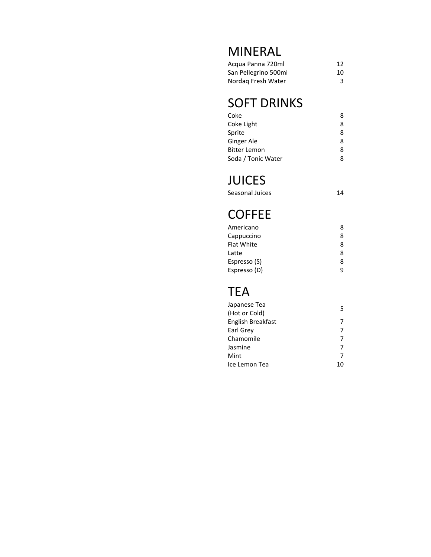## MINERAL

| Acqua Panna 720ml    | 12 |
|----------------------|----|
| San Pellegrino 500ml | 10 |
| Nordag Fresh Water   | 3  |

# SOFT DRINKS

| Coke                | 8 |
|---------------------|---|
| Coke Light          | 8 |
| Sprite              | 8 |
| Ginger Ale          | 8 |
| <b>Bitter Lemon</b> | 8 |
| Soda / Tonic Water  | Զ |

# **JUICES**<br>Seasonal Juice

| Seasonal Juices | 14 |
|-----------------|----|
|                 |    |

# **COFFEE**

| Americano         | 8 |
|-------------------|---|
| Cappuccino        | 8 |
| <b>Flat White</b> | 8 |
| Latte             | 8 |
| Espresso (S)      | 8 |
| Espresso (D)      | q |

# TEA

| Japanese Tea      | 5  |
|-------------------|----|
| (Hot or Cold)     |    |
| English Breakfast |    |
| Earl Grey         |    |
| Chamomile         |    |
| Jasmine           | 7  |
| Mint              | 7  |
| Ice Lemon Tea     | 10 |